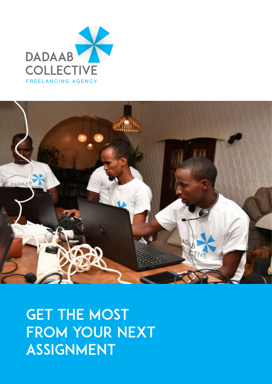



**GET THE MOST** FROM YOUR NEXT ASSIGNMENT